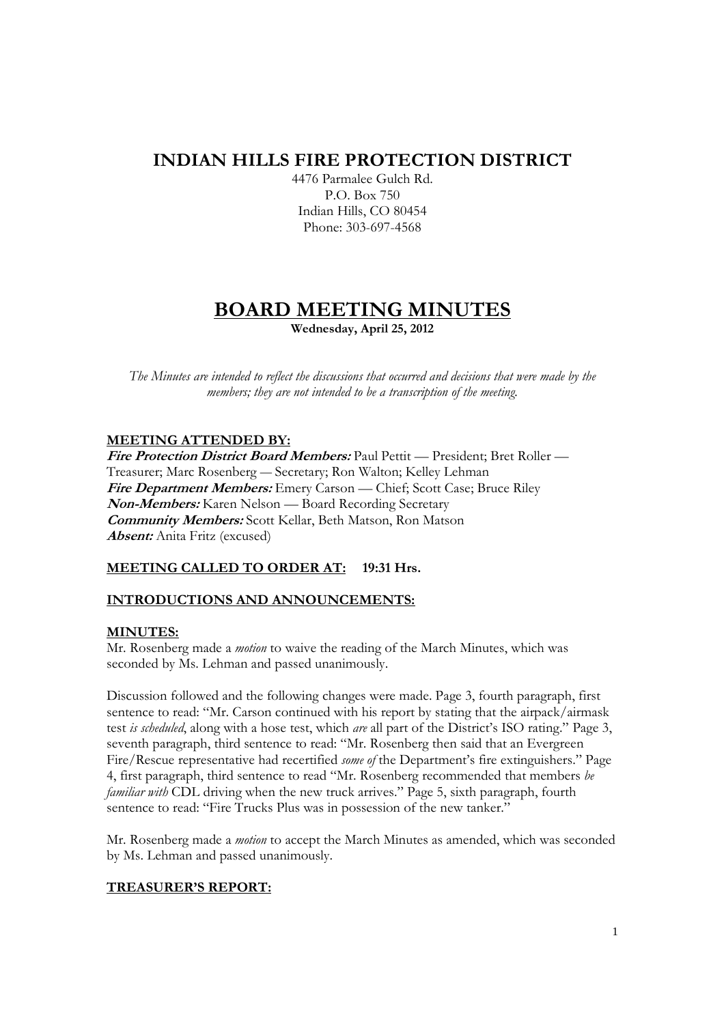# **INDIAN HILLS FIRE PROTECTION DISTRICT**

4476 Parmalee Gulch Rd. P.O. Box 750 Indian Hills, CO 80454 Phone: 303-697-4568

# **BOARD MEETING MINUTES Wednesday, April 25, 2012**

*The Minutes are intended to reflect the discussions that occurred and decisions that were made by the members; they are not intended to be a transcription of the meeting.* 

## **MEETING ATTENDED BY:**

**Fire Protection District Board Members:** Paul Pettit — President; Bret Roller — Treasurer; Marc Rosenberg — Secretary; Ron Walton; Kelley Lehman **Fire Department Members:** Emery Carson — Chief; Scott Case; Bruce Riley **Non-Members:** Karen Nelson — Board Recording Secretary **Community Members:** Scott Kellar, Beth Matson, Ron Matson **Absent:** Anita Fritz (excused)

#### **MEETING CALLED TO ORDER AT: 19:31 Hrs.**

#### **INTRODUCTIONS AND ANNOUNCEMENTS:**

#### **MINUTES:**

Mr. Rosenberg made a *motion* to waive the reading of the March Minutes, which was seconded by Ms. Lehman and passed unanimously.

Discussion followed and the following changes were made. Page 3, fourth paragraph, first sentence to read: "Mr. Carson continued with his report by stating that the airpack/airmask test *is scheduled*, along with a hose test, which *are* all part of the District's ISO rating." Page 3, seventh paragraph, third sentence to read: "Mr. Rosenberg then said that an Evergreen Fire/Rescue representative had recertified *some of* the Department's fire extinguishers." Page 4, first paragraph, third sentence to read "Mr. Rosenberg recommended that members *be familiar with* CDL driving when the new truck arrives." Page 5, sixth paragraph, fourth sentence to read: "Fire Trucks Plus was in possession of the new tanker."

Mr. Rosenberg made a *motion* to accept the March Minutes as amended, which was seconded by Ms. Lehman and passed unanimously.

#### **TREASURER'S REPORT:**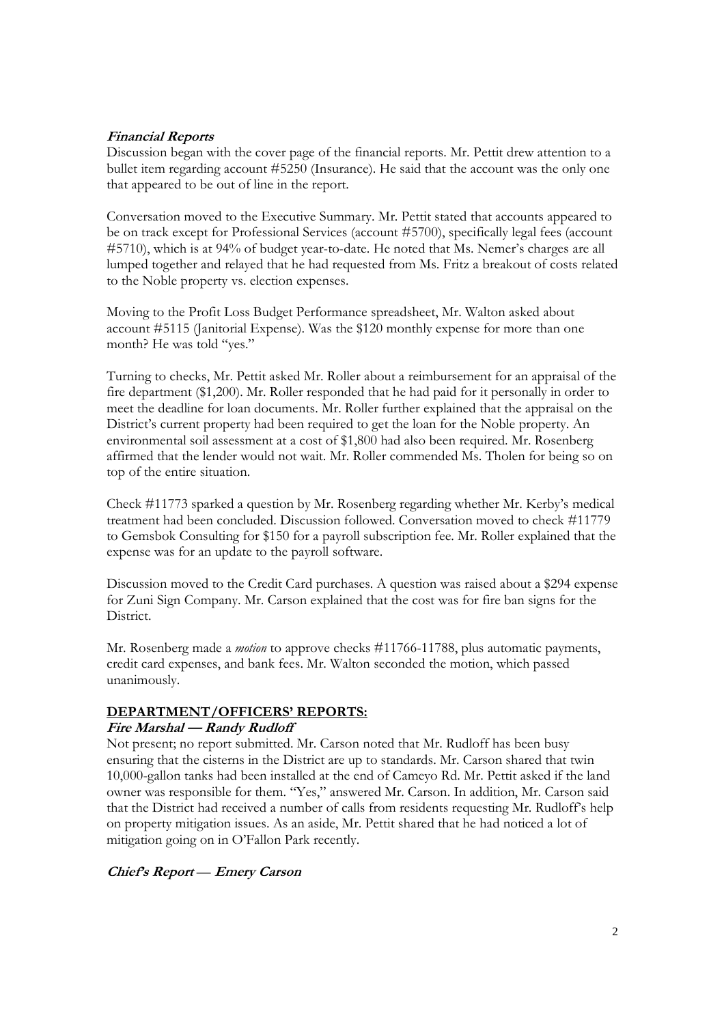## **Financial Reports**

Discussion began with the cover page of the financial reports. Mr. Pettit drew attention to a bullet item regarding account #5250 (Insurance). He said that the account was the only one that appeared to be out of line in the report.

Conversation moved to the Executive Summary. Mr. Pettit stated that accounts appeared to be on track except for Professional Services (account #5700), specifically legal fees (account #5710), which is at 94% of budget year-to-date. He noted that Ms. Nemer's charges are all lumped together and relayed that he had requested from Ms. Fritz a breakout of costs related to the Noble property vs. election expenses.

Moving to the Profit Loss Budget Performance spreadsheet, Mr. Walton asked about account #5115 (Janitorial Expense). Was the \$120 monthly expense for more than one month? He was told "yes."

Turning to checks, Mr. Pettit asked Mr. Roller about a reimbursement for an appraisal of the fire department (\$1,200). Mr. Roller responded that he had paid for it personally in order to meet the deadline for loan documents. Mr. Roller further explained that the appraisal on the District's current property had been required to get the loan for the Noble property. An environmental soil assessment at a cost of \$1,800 had also been required. Mr. Rosenberg affirmed that the lender would not wait. Mr. Roller commended Ms. Tholen for being so on top of the entire situation.

Check #11773 sparked a question by Mr. Rosenberg regarding whether Mr. Kerby's medical treatment had been concluded. Discussion followed. Conversation moved to check #11779 to Gemsbok Consulting for \$150 for a payroll subscription fee. Mr. Roller explained that the expense was for an update to the payroll software.

Discussion moved to the Credit Card purchases. A question was raised about a \$294 expense for Zuni Sign Company. Mr. Carson explained that the cost was for fire ban signs for the District.

Mr. Rosenberg made a *motion* to approve checks #11766-11788, plus automatic payments, credit card expenses, and bank fees. Mr. Walton seconded the motion, which passed unanimously.

## **DEPARTMENT/OFFICERS' REPORTS:**

#### **Fire Marshal — Randy Rudloff**

Not present; no report submitted. Mr. Carson noted that Mr. Rudloff has been busy ensuring that the cisterns in the District are up to standards. Mr. Carson shared that twin 10,000-gallon tanks had been installed at the end of Cameyo Rd. Mr. Pettit asked if the land owner was responsible for them. "Yes," answered Mr. Carson. In addition, Mr. Carson said that the District had received a number of calls from residents requesting Mr. Rudloff's help on property mitigation issues. As an aside, Mr. Pettit shared that he had noticed a lot of mitigation going on in O'Fallon Park recently.

**Chief's Report** — **Emery Carson**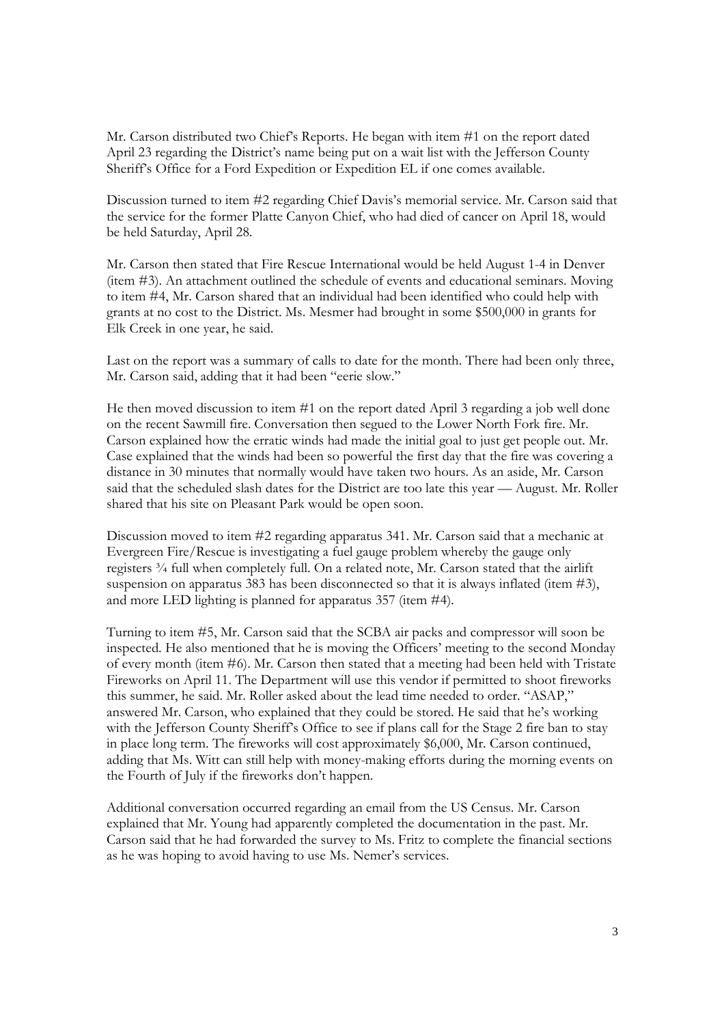Mr. Carson distributed two Chief's Reports. He began with item #1 on the report dated April 23 regarding the District's name being put on a wait list with the Jefferson County Sheriff's Office for a Ford Expedition or Expedition EL if one comes available.

Discussion turned to item #2 regarding Chief Davis's memorial service. Mr. Carson said that the service for the former Platte Canyon Chief, who had died of cancer on April 18, would be held Saturday, April 28.

Mr. Carson then stated that Fire Rescue International would be held August 1-4 in Denver (item #3). An attachment outlined the schedule of events and educational seminars. Moving to item #4, Mr. Carson shared that an individual had been identified who could help with grants at no cost to the District. Ms. Mesmer had brought in some \$500,000 in grants for Elk Creek in one year, he said.

Last on the report was a summary of calls to date for the month. There had been only three, Mr. Carson said, adding that it had been "eerie slow."

He then moved discussion to item #1 on the report dated April 3 regarding a job well done on the recent Sawmill fire. Conversation then segued to the Lower North Fork fire. Mr. Carson explained how the erratic winds had made the initial goal to just get people out. Mr. Case explained that the winds had been so powerful the first day that the fire was covering a distance in 30 minutes that normally would have taken two hours. As an aside, Mr. Carson said that the scheduled slash dates for the District are too late this year — August. Mr. Roller shared that his site on Pleasant Park would be open soon.

Discussion moved to item #2 regarding apparatus 341. Mr. Carson said that a mechanic at Evergreen Fire/Rescue is investigating a fuel gauge problem whereby the gauge only registers ¾ full when completely full. On a related note, Mr. Carson stated that the airlift suspension on apparatus 383 has been disconnected so that it is always inflated (item #3), and more LED lighting is planned for apparatus 357 (item #4).

Turning to item #5, Mr. Carson said that the SCBA air packs and compressor will soon be inspected. He also mentioned that he is moving the Officers' meeting to the second Monday of every month (item #6). Mr. Carson then stated that a meeting had been held with Tristate Fireworks on April 11. The Department will use this vendor if permitted to shoot fireworks this summer, he said. Mr. Roller asked about the lead time needed to order. "ASAP," answered Mr. Carson, who explained that they could be stored. He said that he's working with the Jefferson County Sheriff's Office to see if plans call for the Stage 2 fire ban to stay in place long term. The fireworks will cost approximately \$6,000, Mr. Carson continued, adding that Ms. Witt can still help with money-making efforts during the morning events on the Fourth of July if the fireworks don't happen.

Additional conversation occurred regarding an email from the US Census. Mr. Carson explained that Mr. Young had apparently completed the documentation in the past. Mr. Carson said that he had forwarded the survey to Ms. Fritz to complete the financial sections as he was hoping to avoid having to use Ms. Nemer's services.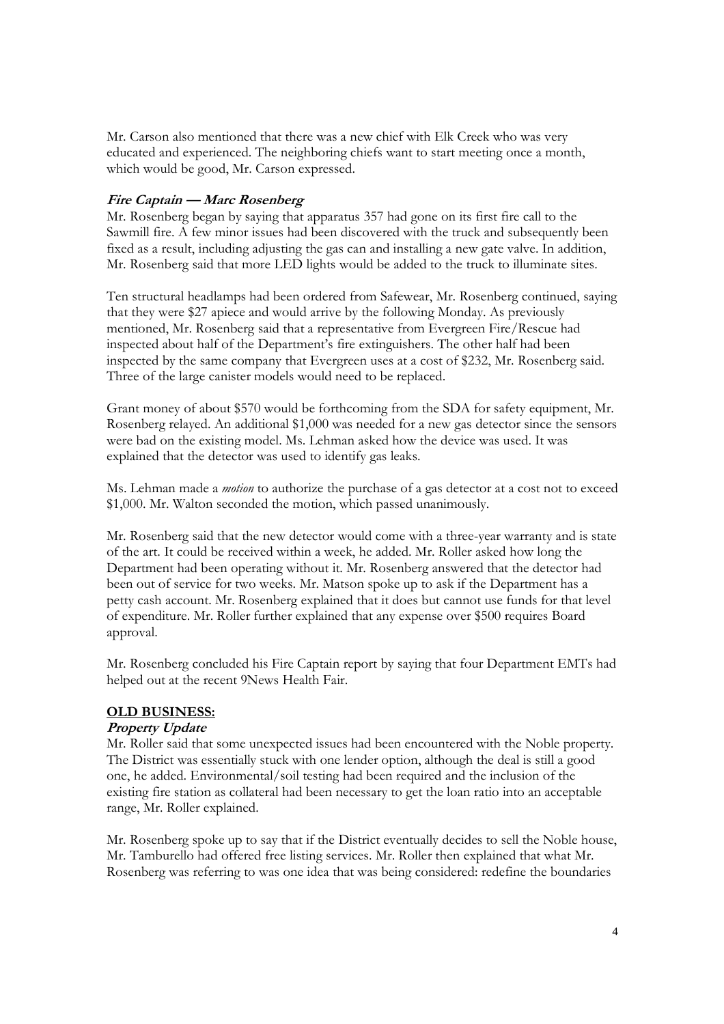Mr. Carson also mentioned that there was a new chief with Elk Creek who was very educated and experienced. The neighboring chiefs want to start meeting once a month, which would be good, Mr. Carson expressed.

## **Fire Captain — Marc Rosenberg**

Mr. Rosenberg began by saying that apparatus 357 had gone on its first fire call to the Sawmill fire. A few minor issues had been discovered with the truck and subsequently been fixed as a result, including adjusting the gas can and installing a new gate valve. In addition, Mr. Rosenberg said that more LED lights would be added to the truck to illuminate sites.

Ten structural headlamps had been ordered from Safewear, Mr. Rosenberg continued, saying that they were \$27 apiece and would arrive by the following Monday. As previously mentioned, Mr. Rosenberg said that a representative from Evergreen Fire/Rescue had inspected about half of the Department's fire extinguishers. The other half had been inspected by the same company that Evergreen uses at a cost of \$232, Mr. Rosenberg said. Three of the large canister models would need to be replaced.

Grant money of about \$570 would be forthcoming from the SDA for safety equipment, Mr. Rosenberg relayed. An additional \$1,000 was needed for a new gas detector since the sensors were bad on the existing model. Ms. Lehman asked how the device was used. It was explained that the detector was used to identify gas leaks.

Ms. Lehman made a *motion* to authorize the purchase of a gas detector at a cost not to exceed \$1,000. Mr. Walton seconded the motion, which passed unanimously.

Mr. Rosenberg said that the new detector would come with a three-year warranty and is state of the art. It could be received within a week, he added. Mr. Roller asked how long the Department had been operating without it. Mr. Rosenberg answered that the detector had been out of service for two weeks. Mr. Matson spoke up to ask if the Department has a petty cash account. Mr. Rosenberg explained that it does but cannot use funds for that level of expenditure. Mr. Roller further explained that any expense over \$500 requires Board approval.

Mr. Rosenberg concluded his Fire Captain report by saying that four Department EMTs had helped out at the recent 9News Health Fair.

#### **OLD BUSINESS:**

#### **Property Update**

Mr. Roller said that some unexpected issues had been encountered with the Noble property. The District was essentially stuck with one lender option, although the deal is still a good one, he added. Environmental/soil testing had been required and the inclusion of the existing fire station as collateral had been necessary to get the loan ratio into an acceptable range, Mr. Roller explained.

Mr. Rosenberg spoke up to say that if the District eventually decides to sell the Noble house, Mr. Tamburello had offered free listing services. Mr. Roller then explained that what Mr. Rosenberg was referring to was one idea that was being considered: redefine the boundaries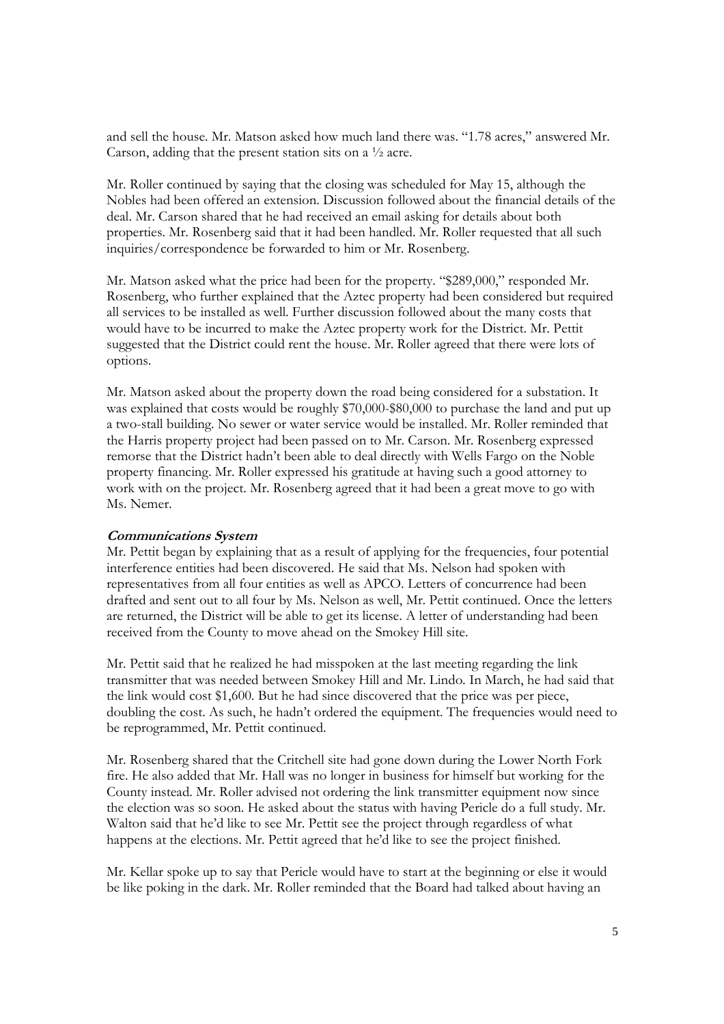and sell the house. Mr. Matson asked how much land there was. "1.78 acres," answered Mr. Carson, adding that the present station sits on a ½ acre.

Mr. Roller continued by saying that the closing was scheduled for May 15, although the Nobles had been offered an extension. Discussion followed about the financial details of the deal. Mr. Carson shared that he had received an email asking for details about both properties. Mr. Rosenberg said that it had been handled. Mr. Roller requested that all such inquiries/correspondence be forwarded to him or Mr. Rosenberg.

Mr. Matson asked what the price had been for the property. "\$289,000," responded Mr. Rosenberg, who further explained that the Aztec property had been considered but required all services to be installed as well. Further discussion followed about the many costs that would have to be incurred to make the Aztec property work for the District. Mr. Pettit suggested that the District could rent the house. Mr. Roller agreed that there were lots of options.

Mr. Matson asked about the property down the road being considered for a substation. It was explained that costs would be roughly \$70,000-\$80,000 to purchase the land and put up a two-stall building. No sewer or water service would be installed. Mr. Roller reminded that the Harris property project had been passed on to Mr. Carson. Mr. Rosenberg expressed remorse that the District hadn't been able to deal directly with Wells Fargo on the Noble property financing. Mr. Roller expressed his gratitude at having such a good attorney to work with on the project. Mr. Rosenberg agreed that it had been a great move to go with Ms. Nemer.

#### **Communications System**

Mr. Pettit began by explaining that as a result of applying for the frequencies, four potential interference entities had been discovered. He said that Ms. Nelson had spoken with representatives from all four entities as well as APCO. Letters of concurrence had been drafted and sent out to all four by Ms. Nelson as well, Mr. Pettit continued. Once the letters are returned, the District will be able to get its license. A letter of understanding had been received from the County to move ahead on the Smokey Hill site.

Mr. Pettit said that he realized he had misspoken at the last meeting regarding the link transmitter that was needed between Smokey Hill and Mr. Lindo. In March, he had said that the link would cost \$1,600. But he had since discovered that the price was per piece, doubling the cost. As such, he hadn't ordered the equipment. The frequencies would need to be reprogrammed, Mr. Pettit continued.

Mr. Rosenberg shared that the Critchell site had gone down during the Lower North Fork fire. He also added that Mr. Hall was no longer in business for himself but working for the County instead. Mr. Roller advised not ordering the link transmitter equipment now since the election was so soon. He asked about the status with having Pericle do a full study. Mr. Walton said that he'd like to see Mr. Pettit see the project through regardless of what happens at the elections. Mr. Pettit agreed that he'd like to see the project finished.

Mr. Kellar spoke up to say that Pericle would have to start at the beginning or else it would be like poking in the dark. Mr. Roller reminded that the Board had talked about having an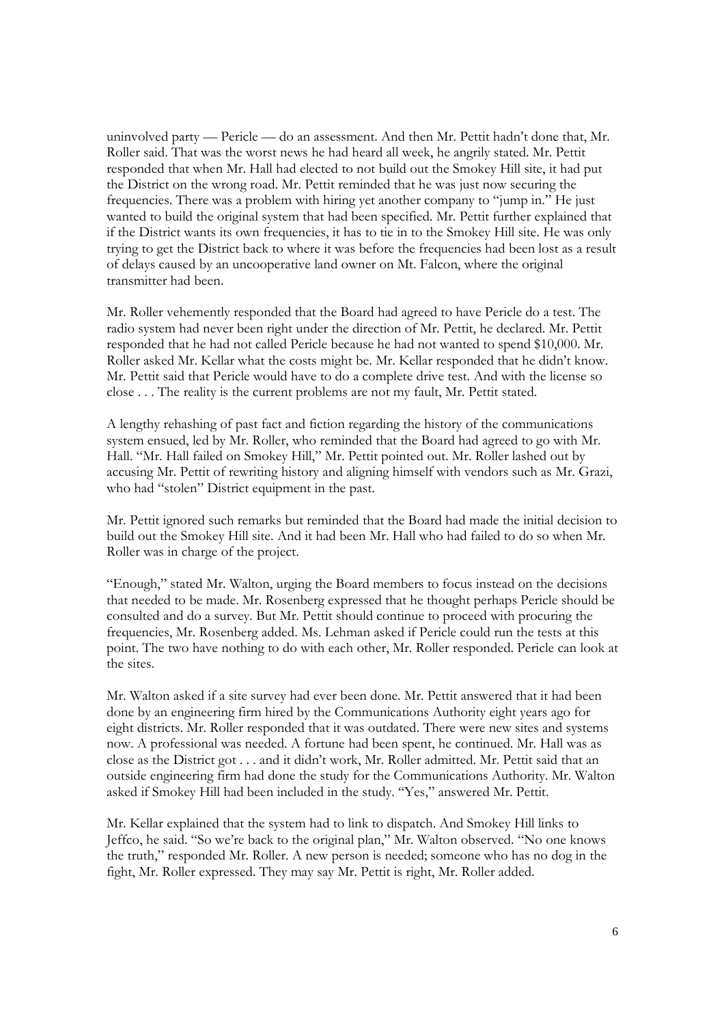uninvolved party — Pericle — do an assessment. And then Mr. Pettit hadn't done that, Mr. Roller said. That was the worst news he had heard all week, he angrily stated. Mr. Pettit responded that when Mr. Hall had elected to not build out the Smokey Hill site, it had put the District on the wrong road. Mr. Pettit reminded that he was just now securing the frequencies. There was a problem with hiring yet another company to "jump in." He just wanted to build the original system that had been specified. Mr. Pettit further explained that if the District wants its own frequencies, it has to tie in to the Smokey Hill site. He was only trying to get the District back to where it was before the frequencies had been lost as a result of delays caused by an uncooperative land owner on Mt. Falcon, where the original transmitter had been.

Mr. Roller vehemently responded that the Board had agreed to have Pericle do a test. The radio system had never been right under the direction of Mr. Pettit, he declared. Mr. Pettit responded that he had not called Pericle because he had not wanted to spend \$10,000. Mr. Roller asked Mr. Kellar what the costs might be. Mr. Kellar responded that he didn't know. Mr. Pettit said that Pericle would have to do a complete drive test. And with the license so close . . . The reality is the current problems are not my fault, Mr. Pettit stated.

A lengthy rehashing of past fact and fiction regarding the history of the communications system ensued, led by Mr. Roller, who reminded that the Board had agreed to go with Mr. Hall. "Mr. Hall failed on Smokey Hill," Mr. Pettit pointed out. Mr. Roller lashed out by accusing Mr. Pettit of rewriting history and aligning himself with vendors such as Mr. Grazi, who had "stolen" District equipment in the past.

Mr. Pettit ignored such remarks but reminded that the Board had made the initial decision to build out the Smokey Hill site. And it had been Mr. Hall who had failed to do so when Mr. Roller was in charge of the project.

"Enough," stated Mr. Walton, urging the Board members to focus instead on the decisions that needed to be made. Mr. Rosenberg expressed that he thought perhaps Pericle should be consulted and do a survey. But Mr. Pettit should continue to proceed with procuring the frequencies, Mr. Rosenberg added. Ms. Lehman asked if Pericle could run the tests at this point. The two have nothing to do with each other, Mr. Roller responded. Pericle can look at the sites.

Mr. Walton asked if a site survey had ever been done. Mr. Pettit answered that it had been done by an engineering firm hired by the Communications Authority eight years ago for eight districts. Mr. Roller responded that it was outdated. There were new sites and systems now. A professional was needed. A fortune had been spent, he continued. Mr. Hall was as close as the District got . . . and it didn't work, Mr. Roller admitted. Mr. Pettit said that an outside engineering firm had done the study for the Communications Authority. Mr. Walton asked if Smokey Hill had been included in the study. "Yes," answered Mr. Pettit.

Mr. Kellar explained that the system had to link to dispatch. And Smokey Hill links to Jeffco, he said. "So we're back to the original plan," Mr. Walton observed. "No one knows the truth," responded Mr. Roller. A new person is needed; someone who has no dog in the fight, Mr. Roller expressed. They may say Mr. Pettit is right, Mr. Roller added.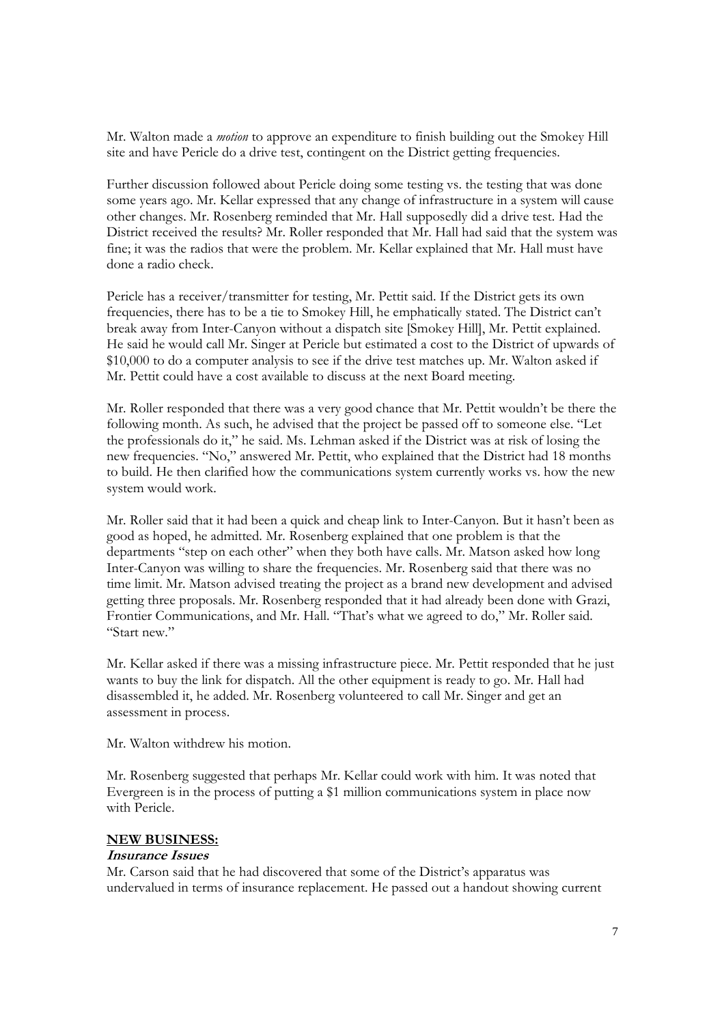Mr. Walton made a *motion* to approve an expenditure to finish building out the Smokey Hill site and have Pericle do a drive test, contingent on the District getting frequencies.

Further discussion followed about Pericle doing some testing vs. the testing that was done some years ago. Mr. Kellar expressed that any change of infrastructure in a system will cause other changes. Mr. Rosenberg reminded that Mr. Hall supposedly did a drive test. Had the District received the results? Mr. Roller responded that Mr. Hall had said that the system was fine; it was the radios that were the problem. Mr. Kellar explained that Mr. Hall must have done a radio check.

Pericle has a receiver/transmitter for testing, Mr. Pettit said. If the District gets its own frequencies, there has to be a tie to Smokey Hill, he emphatically stated. The District can't break away from Inter-Canyon without a dispatch site [Smokey Hill], Mr. Pettit explained. He said he would call Mr. Singer at Pericle but estimated a cost to the District of upwards of \$10,000 to do a computer analysis to see if the drive test matches up. Mr. Walton asked if Mr. Pettit could have a cost available to discuss at the next Board meeting.

Mr. Roller responded that there was a very good chance that Mr. Pettit wouldn't be there the following month. As such, he advised that the project be passed off to someone else. "Let the professionals do it," he said. Ms. Lehman asked if the District was at risk of losing the new frequencies. "No," answered Mr. Pettit, who explained that the District had 18 months to build. He then clarified how the communications system currently works vs. how the new system would work.

Mr. Roller said that it had been a quick and cheap link to Inter-Canyon. But it hasn't been as good as hoped, he admitted. Mr. Rosenberg explained that one problem is that the departments "step on each other" when they both have calls. Mr. Matson asked how long Inter-Canyon was willing to share the frequencies. Mr. Rosenberg said that there was no time limit. Mr. Matson advised treating the project as a brand new development and advised getting three proposals. Mr. Rosenberg responded that it had already been done with Grazi, Frontier Communications, and Mr. Hall. "That's what we agreed to do," Mr. Roller said. "Start new."

Mr. Kellar asked if there was a missing infrastructure piece. Mr. Pettit responded that he just wants to buy the link for dispatch. All the other equipment is ready to go. Mr. Hall had disassembled it, he added. Mr. Rosenberg volunteered to call Mr. Singer and get an assessment in process.

Mr. Walton withdrew his motion.

Mr. Rosenberg suggested that perhaps Mr. Kellar could work with him. It was noted that Evergreen is in the process of putting a \$1 million communications system in place now with Pericle.

#### **NEW BUSINESS:**

#### **Insurance Issues**

Mr. Carson said that he had discovered that some of the District's apparatus was undervalued in terms of insurance replacement. He passed out a handout showing current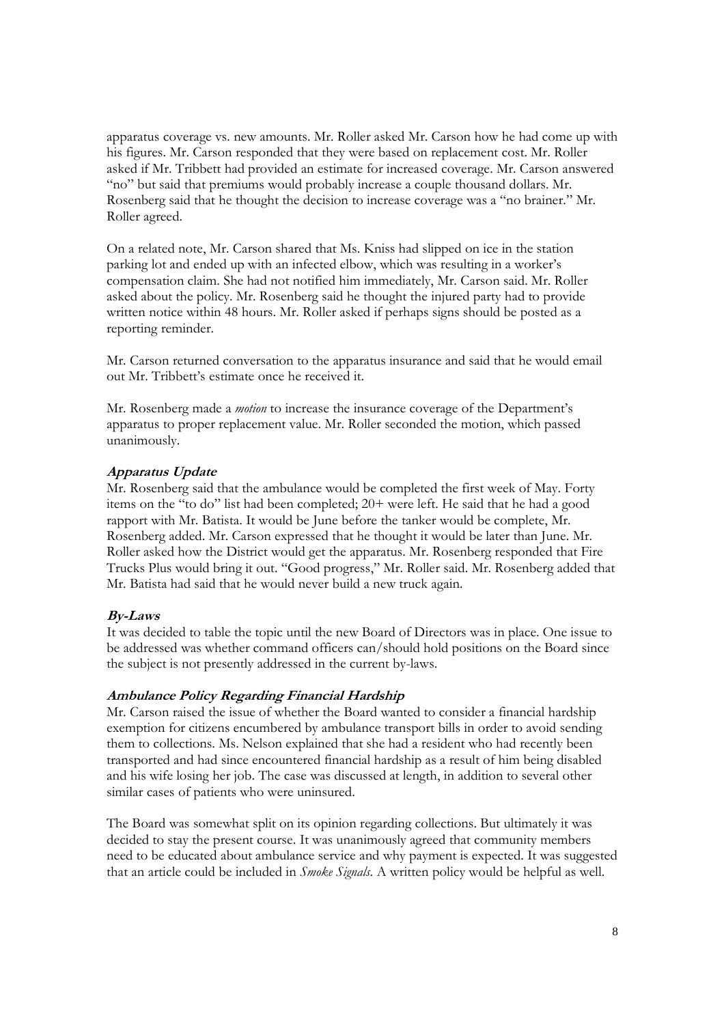apparatus coverage vs. new amounts. Mr. Roller asked Mr. Carson how he had come up with his figures. Mr. Carson responded that they were based on replacement cost. Mr. Roller asked if Mr. Tribbett had provided an estimate for increased coverage. Mr. Carson answered "no" but said that premiums would probably increase a couple thousand dollars. Mr. Rosenberg said that he thought the decision to increase coverage was a "no brainer." Mr. Roller agreed.

On a related note, Mr. Carson shared that Ms. Kniss had slipped on ice in the station parking lot and ended up with an infected elbow, which was resulting in a worker's compensation claim. She had not notified him immediately, Mr. Carson said. Mr. Roller asked about the policy. Mr. Rosenberg said he thought the injured party had to provide written notice within 48 hours. Mr. Roller asked if perhaps signs should be posted as a reporting reminder.

Mr. Carson returned conversation to the apparatus insurance and said that he would email out Mr. Tribbett's estimate once he received it.

Mr. Rosenberg made a *motion* to increase the insurance coverage of the Department's apparatus to proper replacement value. Mr. Roller seconded the motion, which passed unanimously.

#### **Apparatus Update**

Mr. Rosenberg said that the ambulance would be completed the first week of May. Forty items on the "to do" list had been completed; 20+ were left. He said that he had a good rapport with Mr. Batista. It would be June before the tanker would be complete, Mr. Rosenberg added. Mr. Carson expressed that he thought it would be later than June. Mr. Roller asked how the District would get the apparatus. Mr. Rosenberg responded that Fire Trucks Plus would bring it out. "Good progress," Mr. Roller said. Mr. Rosenberg added that Mr. Batista had said that he would never build a new truck again.

#### **By-Laws**

It was decided to table the topic until the new Board of Directors was in place. One issue to be addressed was whether command officers can/should hold positions on the Board since the subject is not presently addressed in the current by-laws.

#### **Ambulance Policy Regarding Financial Hardship**

Mr. Carson raised the issue of whether the Board wanted to consider a financial hardship exemption for citizens encumbered by ambulance transport bills in order to avoid sending them to collections. Ms. Nelson explained that she had a resident who had recently been transported and had since encountered financial hardship as a result of him being disabled and his wife losing her job. The case was discussed at length, in addition to several other similar cases of patients who were uninsured.

The Board was somewhat split on its opinion regarding collections. But ultimately it was decided to stay the present course. It was unanimously agreed that community members need to be educated about ambulance service and why payment is expected. It was suggested that an article could be included in *Smoke Signals.* A written policy would be helpful as well.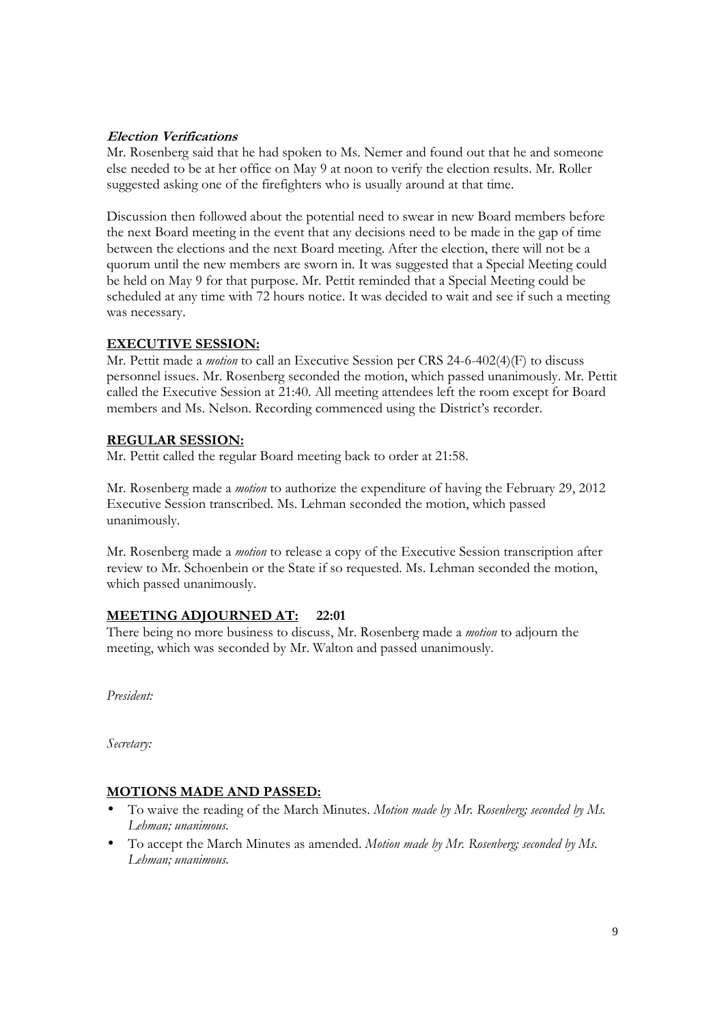## **Election Verifications**

Mr. Rosenberg said that he had spoken to Ms. Nemer and found out that he and someone else needed to be at her office on May 9 at noon to verify the election results. Mr. Roller suggested asking one of the firefighters who is usually around at that time.

Discussion then followed about the potential need to swear in new Board members before the next Board meeting in the event that any decisions need to be made in the gap of time between the elections and the next Board meeting. After the election, there will not be a quorum until the new members are sworn in. It was suggested that a Special Meeting could be held on May 9 for that purpose. Mr. Pettit reminded that a Special Meeting could be scheduled at any time with 72 hours notice. It was decided to wait and see if such a meeting was necessary.

## **EXECUTIVE SESSION:**

Mr. Pettit made a *motion* to call an Executive Session per CRS 24-6-402(4)(F) to discuss personnel issues. Mr. Rosenberg seconded the motion, which passed unanimously. Mr. Pettit called the Executive Session at 21:40. All meeting attendees left the room except for Board members and Ms. Nelson. Recording commenced using the District's recorder.

## **REGULAR SESSION:**

Mr. Pettit called the regular Board meeting back to order at 21:58.

Mr. Rosenberg made a *motion* to authorize the expenditure of having the February 29, 2012 Executive Session transcribed. Ms. Lehman seconded the motion, which passed unanimously.

Mr. Rosenberg made a *motion* to release a copy of the Executive Session transcription after review to Mr. Schoenbein or the State if so requested. Ms. Lehman seconded the motion, which passed unanimously.

## **MEETING ADJOURNED AT: 22:01**

There being no more business to discuss, Mr. Rosenberg made a *motion* to adjourn the meeting, which was seconded by Mr. Walton and passed unanimously.

*President:* 

*Secretary:* 

## **MOTIONS MADE AND PASSED:**

- To waive the reading of the March Minutes. *Motion made by Mr. Rosenberg; seconded by Ms. Lehman; unanimous.*
- To accept the March Minutes as amended. *Motion made by Mr. Rosenberg; seconded by Ms. Lehman; unanimous.*